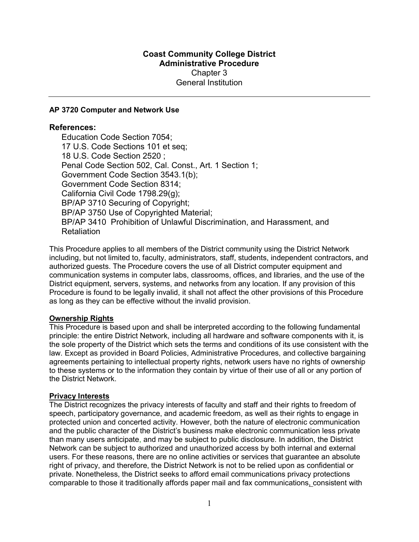# Coast Community College District Administrative Procedure Chapter 3 General Institution

### AP 3720 Computer and Network Use

### References:

Education Code Section 7054; 17 U.S. Code Sections 101 et seq; 18 U.S. Code Section 2520 ; Penal Code Section 502, Cal. Const., Art. 1 Section 1; Government Code Section 3543.1(b); Government Code Section 8314; California Civil Code 1798.29(g); BP/AP 3710 Securing of Copyright; BP/AP 3750 Use of Copyrighted Material; BP/AP 3410 Prohibition of Unlawful Discrimination, and Harassment, and **Retaliation** 

This Procedure applies to all members of the District community using the District Network including, but not limited to, faculty, administrators, staff, students, independent contractors, and authorized guests. The Procedure covers the use of all District computer equipment and communication systems in computer labs, classrooms, offices, and libraries, and the use of the District equipment, servers, systems, and networks from any location. If any provision of this Procedure is found to be legally invalid, it shall not affect the other provisions of this Procedure as long as they can be effective without the invalid provision.

## Ownership Rights

This Procedure is based upon and shall be interpreted according to the following fundamental principle: the entire District Network, including all hardware and software components with it, is the sole property of the District which sets the terms and conditions of its use consistent with the law. Except as provided in Board Policies, Administrative Procedures, and collective bargaining agreements pertaining to intellectual property rights, network users have no rights of ownership to these systems or to the information they contain by virtue of their use of all or any portion of the District Network.

#### Privacy Interests

The District recognizes the privacy interests of faculty and staff and their rights to freedom of speech, participatory governance, and academic freedom, as well as their rights to engage in protected union and concerted activity. However, both the nature of electronic communication and the public character of the District's business make electronic communication less private than many users anticipate, and may be subject to public disclosure. In addition, the District Network can be subject to authorized and unauthorized access by both internal and external users. For these reasons, there are no online activities or services that guarantee an absolute right of privacy, and therefore, the District Network is not to be relied upon as confidential or private. Nonetheless, the District seeks to afford email communications privacy protections comparable to those it traditionally affords paper mail and fax communications, consistent with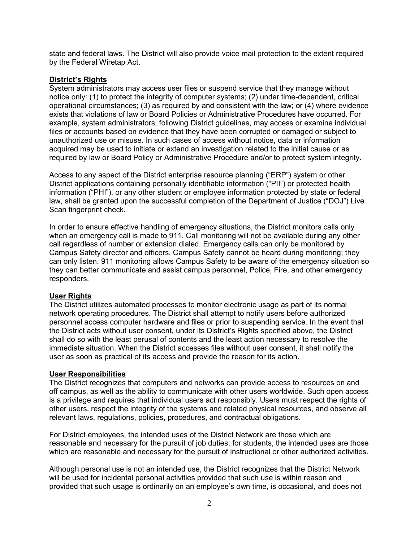state and federal laws. The District will also provide voice mail protection to the extent required by the Federal Wiretap Act.

### District's Rights

System administrators may access user files or suspend service that they manage without notice only: (1) to protect the integrity of computer systems; (2) under time-dependent, critical operational circumstances; (3) as required by and consistent with the law; or (4) where evidence exists that violations of law or Board Policies or Administrative Procedures have occurred. For example, system administrators, following District guidelines, may access or examine individual files or accounts based on evidence that they have been corrupted or damaged or subject to unauthorized use or misuse. In such cases of access without notice, data or information acquired may be used to initiate or extend an investigation related to the initial cause or as required by law or Board Policy or Administrative Procedure and/or to protect system integrity.

Access to any aspect of the District enterprise resource planning ("ERP") system or other District applications containing personally identifiable information ("PII") or protected health information ("PHI"), or any other student or employee information protected by state or federal law, shall be granted upon the successful completion of the Department of Justice ("DOJ") Live Scan fingerprint check.

In order to ensure effective handling of emergency situations, the District monitors calls only when an emergency call is made to 911. Call monitoring will not be available during any other call regardless of number or extension dialed. Emergency calls can only be monitored by Campus Safety director and officers. Campus Safety cannot be heard during monitoring; they can only listen. 911 monitoring allows Campus Safety to be aware of the emergency situation so they can better communicate and assist campus personnel, Police, Fire, and other emergency responders.

## User Rights

The District utilizes automated processes to monitor electronic usage as part of its normal network operating procedures. The District shall attempt to notify users before authorized personnel access computer hardware and files or prior to suspending service. In the event that the District acts without user consent, under its District's Rights specified above, the District shall do so with the least perusal of contents and the least action necessary to resolve the immediate situation. When the District accesses files without user consent, it shall notify the user as soon as practical of its access and provide the reason for its action.

## User Responsibilities

The District recognizes that computers and networks can provide access to resources on and off campus, as well as the ability to communicate with other users worldwide. Such open access is a privilege and requires that individual users act responsibly. Users must respect the rights of other users, respect the integrity of the systems and related physical resources, and observe all relevant laws, regulations, policies, procedures, and contractual obligations.

For District employees, the intended uses of the District Network are those which are reasonable and necessary for the pursuit of job duties; for students, the intended uses are those which are reasonable and necessary for the pursuit of instructional or other authorized activities.

Although personal use is not an intended use, the District recognizes that the District Network will be used for incidental personal activities provided that such use is within reason and provided that such usage is ordinarily on an employee's own time, is occasional, and does not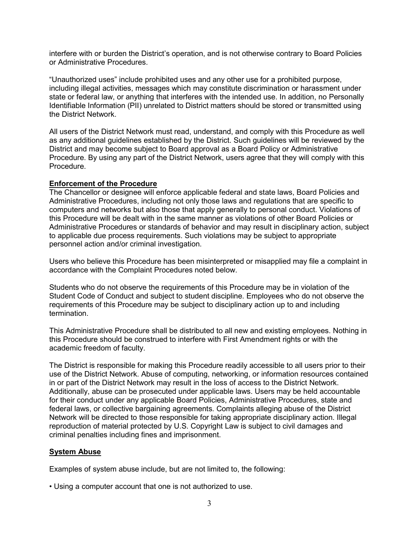interfere with or burden the District's operation, and is not otherwise contrary to Board Policies or Administrative Procedures.

"Unauthorized uses" include prohibited uses and any other use for a prohibited purpose, including illegal activities, messages which may constitute discrimination or harassment under state or federal law, or anything that interferes with the intended use. In addition, no Personally Identifiable Information (PII) unrelated to District matters should be stored or transmitted using the District Network.

All users of the District Network must read, understand, and comply with this Procedure as well as any additional guidelines established by the District. Such guidelines will be reviewed by the District and may become subject to Board approval as a Board Policy or Administrative Procedure. By using any part of the District Network, users agree that they will comply with this Procedure.

#### Enforcement of the Procedure

The Chancellor or designee will enforce applicable federal and state laws, Board Policies and Administrative Procedures, including not only those laws and regulations that are specific to computers and networks but also those that apply generally to personal conduct. Violations of this Procedure will be dealt with in the same manner as violations of other Board Policies or Administrative Procedures or standards of behavior and may result in disciplinary action, subject to applicable due process requirements. Such violations may be subject to appropriate personnel action and/or criminal investigation.

Users who believe this Procedure has been misinterpreted or misapplied may file a complaint in accordance with the Complaint Procedures noted below.

Students who do not observe the requirements of this Procedure may be in violation of the Student Code of Conduct and subject to student discipline. Employees who do not observe the requirements of this Procedure may be subject to disciplinary action up to and including termination.

This Administrative Procedure shall be distributed to all new and existing employees. Nothing in this Procedure should be construed to interfere with First Amendment rights or with the academic freedom of faculty.

The District is responsible for making this Procedure readily accessible to all users prior to their use of the District Network. Abuse of computing, networking, or information resources contained in or part of the District Network may result in the loss of access to the District Network. Additionally, abuse can be prosecuted under applicable laws. Users may be held accountable for their conduct under any applicable Board Policies, Administrative Procedures, state and federal laws, or collective bargaining agreements. Complaints alleging abuse of the District Network will be directed to those responsible for taking appropriate disciplinary action. Illegal reproduction of material protected by U.S. Copyright Law is subject to civil damages and criminal penalties including fines and imprisonment.

#### System Abuse

Examples of system abuse include, but are not limited to, the following:

• Using a computer account that one is not authorized to use.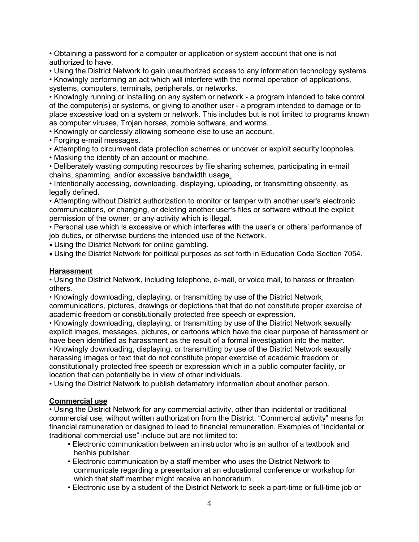• Obtaining a password for a computer or application or system account that one is not authorized to have.

• Using the District Network to gain unauthorized access to any information technology systems.

• Knowingly performing an act which will interfere with the normal operation of applications, systems, computers, terminals, peripherals, or networks.

• Knowingly running or installing on any system or network - a program intended to take control of the computer(s) or systems, or giving to another user - a program intended to damage or to place excessive load on a system or network. This includes but is not limited to programs known as computer viruses, Trojan horses, zombie software, and worms.

• Knowingly or carelessly allowing someone else to use an account.

- Forging e-mail messages.
- Attempting to circumvent data protection schemes or uncover or exploit security loopholes.
- Masking the identity of an account or machine.

• Deliberately wasting computing resources by file sharing schemes, participating in e-mail chains, spamming, and/or excessive bandwidth usage.

• Intentionally accessing, downloading, displaying, uploading, or transmitting obscenity, as legally defined.

• Attempting without District authorization to monitor or tamper with another user's electronic communications, or changing, or deleting another user's files or software without the explicit permission of the owner, or any activity which is illegal.

• Personal use which is excessive or which interferes with the user's or others' performance of job duties, or otherwise burdens the intended use of the Network.

Using the District Network for online gambling.

Using the District Network for political purposes as set forth in Education Code Section 7054.

## Harassment

• Using the District Network, including telephone, e-mail, or voice mail, to harass or threaten others.

• Knowingly downloading, displaying, or transmitting by use of the District Network, communications, pictures, drawings or depictions that that do not constitute proper exercise of academic freedom or constitutionally protected free speech or expression.

• Knowingly downloading, displaying, or transmitting by use of the District Network sexually explicit images, messages, pictures, or cartoons which have the clear purpose of harassment or have been identified as harassment as the result of a formal investigation into the matter.

• Knowingly downloading, displaying, or transmitting by use of the District Network sexually harassing images or text that do not constitute proper exercise of academic freedom or constitutionally protected free speech or expression which in a public computer facility, or location that can potentially be in view of other individuals.

• Using the District Network to publish defamatory information about another person.

## Commercial use

• Using the District Network for any commercial activity, other than incidental or traditional commercial use, without written authorization from the District. "Commercial activity" means for financial remuneration or designed to lead to financial remuneration. Examples of "incidental or traditional commercial use" include but are not limited to:

- Electronic communication between an instructor who is an author of a textbook and her/his publisher.
- Electronic communication by a staff member who uses the District Network to communicate regarding a presentation at an educational conference or workshop for which that staff member might receive an honorarium.
- Electronic use by a student of the District Network to seek a part-time or full-time job or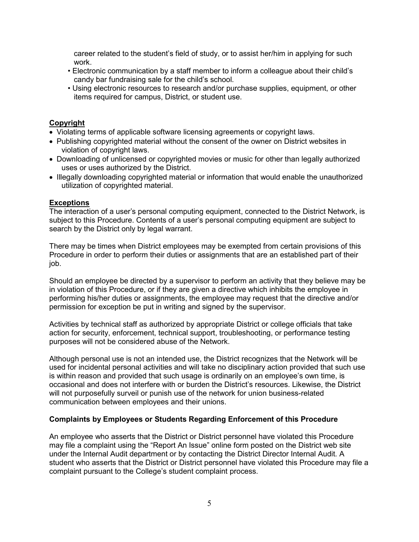career related to the student's field of study, or to assist her/him in applying for such work.

- Electronic communication by a staff member to inform a colleague about their child's candy bar fundraising sale for the child's school.
- Using electronic resources to research and/or purchase supplies, equipment, or other items required for campus, District, or student use.

### Copyright

- Violating terms of applicable software licensing agreements or copyright laws.
- Publishing copyrighted material without the consent of the owner on District websites in violation of copyright laws.
- Downloading of unlicensed or copyrighted movies or music for other than legally authorized uses or uses authorized by the District.
- Illegally downloading copyrighted material or information that would enable the unauthorized utilization of copyrighted material.

### **Exceptions**

The interaction of a user's personal computing equipment, connected to the District Network, is subject to this Procedure. Contents of a user's personal computing equipment are subject to search by the District only by legal warrant.

There may be times when District employees may be exempted from certain provisions of this Procedure in order to perform their duties or assignments that are an established part of their job.

Should an employee be directed by a supervisor to perform an activity that they believe may be in violation of this Procedure, or if they are given a directive which inhibits the employee in performing his/her duties or assignments, the employee may request that the directive and/or permission for exception be put in writing and signed by the supervisor.

Activities by technical staff as authorized by appropriate District or college officials that take action for security, enforcement, technical support, troubleshooting, or performance testing purposes will not be considered abuse of the Network.

Although personal use is not an intended use, the District recognizes that the Network will be used for incidental personal activities and will take no disciplinary action provided that such use is within reason and provided that such usage is ordinarily on an employee's own time, is occasional and does not interfere with or burden the District's resources. Likewise, the District will not purposefully surveil or punish use of the network for union business-related communication between employees and their unions.

#### Complaints by Employees or Students Regarding Enforcement of this Procedure

An employee who asserts that the District or District personnel have violated this Procedure may file a complaint using the "Report An Issue" online form posted on the District web site under the Internal Audit department or by contacting the District Director Internal Audit. A student who asserts that the District or District personnel have violated this Procedure may file a complaint pursuant to the College's student complaint process.